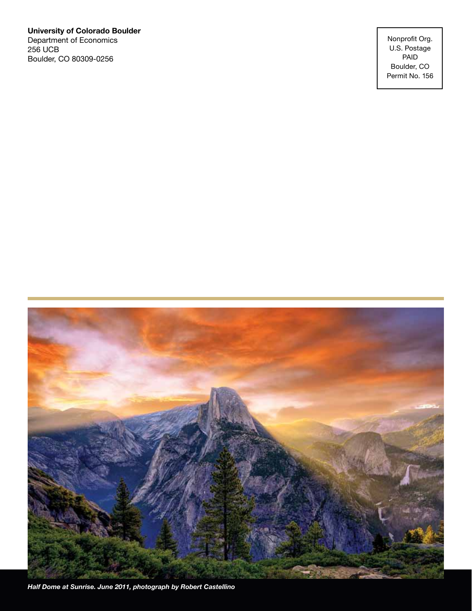**University of Colorado Boulder** Department of Economics 256 UCB Boulder, CO 80309-0256

Nonprofit Org. U.S. Postage PAID Boulder, CO Permit No. 156



*Half Dome at Sunrise. June 2011, photograph by Robert Castellino*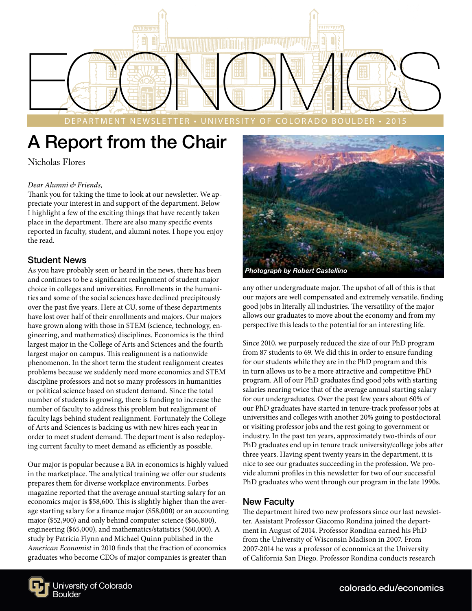

DEPARTMENT NEWSLETTER • UNIVERSITY OF COLORADO BOULDER • 2015

## A Report from the Chair

Nicholas Flores

#### *Dear Alumni & Friends,*

Thank you for taking the time to look at our newsletter. We appreciate your interest in and support of the department. Below I highlight a few of the exciting things that have recently taken place in the department. There are also many specific events reported in faculty, student, and alumni notes. I hope you enjoy the read.

#### Student News

As you have probably seen or heard in the news, there has been and continues to be a significant realignment of student major choice in colleges and universities. Enrollments in the humanities and some of the social sciences have declined precipitously over the past five years. Here at CU, some of these departments have lost over half of their enrollments and majors. Our majors have grown along with those in STEM (science, technology, engineering, and mathematics) disciplines. Economics is the third largest major in the College of Arts and Sciences and the fourth largest major on campus. This realignment is a nationwide phenomenon. In the short term the student realignment creates problems because we suddenly need more economics and STEM discipline professors and not so many professors in humanities or political science based on student demand. Since the total number of students is growing, there is funding to increase the number of faculty to address this problem but realignment of faculty lags behind student realignment. Fortunately the College of Arts and Sciences is backing us with new hires each year in order to meet student demand. The department is also redeploying current faculty to meet demand as efficiently as possible.

Our major is popular because a BA in economics is highly valued in the marketplace. The analytical training we offer our students prepares them for diverse workplace environments. Forbes magazine reported that the average annual starting salary for an economics major is \$58,600. This is slightly higher than the average starting salary for a finance major (\$58,000) or an accounting major (\$52,900) and only behind computer science (\$66,800), engineering (\$65,000), and mathematics/statistics (\$60,000). A study by Patricia Flynn and Michael Quinn published in the *American Economist* in 2010 finds that the fraction of economics graduates who become CEOs of major companies is greater than



any other undergraduate major. The upshot of all of this is that our majors are well compensated and extremely versatile, finding good jobs in literally all industries. The versatility of the major allows our graduates to move about the economy and from my perspective this leads to the potential for an interesting life.

Since 2010, we purposely reduced the size of our PhD program from 87 students to 69. We did this in order to ensure funding for our students while they are in the PhD program and this in turn allows us to be a more attractive and competitive PhD program. All of our PhD graduates find good jobs with starting salaries nearing twice that of the average annual starting salary for our undergraduates. Over the past few years about 60% of our PhD graduates have started in tenure-track professor jobs at universities and colleges with another 20% going to postdoctoral or visiting professor jobs and the rest going to government or industry. In the past ten years, approximately two-thirds of our PhD graduates end up in tenure track university/college jobs after three years. Having spent twenty years in the department, it is nice to see our graduates succeeding in the profession. We provide alumni profiles in this newsletter for two of our successful PhD graduates who went through our program in the late 1990s.

#### New Faculty

The department hired two new professors since our last newsletter. Assistant Professor Giacomo Rondina joined the department in August of 2014. Professor Rondina earned his PhD from the University of Wisconsin Madison in 2007. From 2007-2014 he was a professor of economics at the University of California San Diego. Professor Rondina conducts research

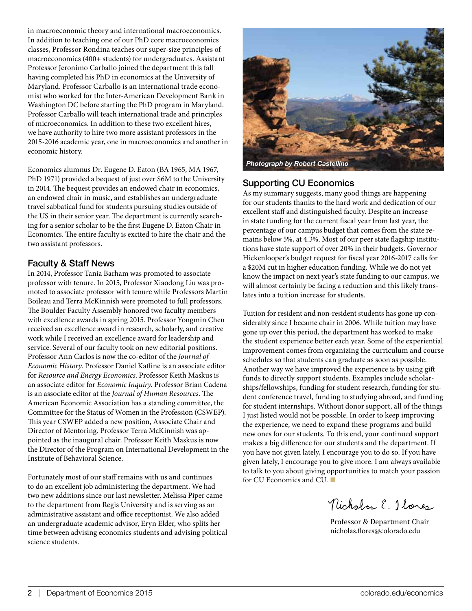in macroeconomic theory and international macroeconomics. In addition to teaching one of our PhD core macroeconomics classes, Professor Rondina teaches our super-size principles of macroeconomics (400+ students) for undergraduates. Assistant Professor Jeronimo Carballo joined the department this fall having completed his PhD in economics at the University of Maryland. Professor Carballo is an international trade economist who worked for the Inter-American Development Bank in Washington DC before starting the PhD program in Maryland. Professor Carballo will teach international trade and principles of microeconomics. In addition to these two excellent hires, we have authority to hire two more assistant professors in the 2015-2016 academic year, one in macroeconomics and another in economic history.

Economics alumnus Dr. Eugene D. Eaton (BA 1965, MA 1967, PhD 1971) provided a bequest of just over \$6M to the University in 2014. The bequest provides an endowed chair in economics, an endowed chair in music, and establishes an undergraduate travel sabbatical fund for students pursuing studies outside of the US in their senior year. The department is currently searching for a senior scholar to be the first Eugene D. Eaton Chair in Economics. The entire faculty is excited to hire the chair and the two assistant professors.

#### Faculty & Staff News

In 2014, Professor Tania Barham was promoted to associate professor with tenure. In 2015, Professor Xiaodong Liu was promoted to associate professor with tenure while Professors Martin Boileau and Terra McKinnish were promoted to full professors. The Boulder Faculty Assembly honored two faculty members with excellence awards in spring 2015. Professor Yongmin Chen received an excellence award in research, scholarly, and creative work while I received an excellence award for leadership and service. Several of our faculty took on new editorial positions. Professor Ann Carlos is now the co-editor of the *Journal of Economic History*. Professor Daniel Kaffine is an associate editor for *Resource and Energy Economics*. Professor Keith Maskus is an associate editor for *Economic Inquiry*. Professor Brian Cadena is an associate editor at the *Journal of Human Resources*. The American Economic Association has a standing committee, the Committee for the Status of Women in the Profession (CSWEP). This year CSWEP added a new position, Associate Chair and Director of Mentoring. Professor Terra McKinnish was appointed as the inaugural chair. Professor Keith Maskus is now the Director of the Program on International Development in the Institute of Behavioral Science.

Fortunately most of our staff remains with us and continues to do an excellent job administering the department. We had two new additions since our last newsletter. Melissa Piper came to the department from Regis University and is serving as an administrative assistant and office receptionist. We also added an undergraduate academic advisor, Eryn Elder, who splits her time between advising economics students and advising political science students.



#### Supporting CU Economics

As my summary suggests, many good things are happening for our students thanks to the hard work and dedication of our excellent staff and distinguished faculty. Despite an increase in state funding for the current fiscal year from last year, the percentage of our campus budget that comes from the state remains below 5%, at 4.3%. Most of our peer state flagship institutions have state support of over 20% in their budgets. Governor Hickenlooper's budget request for fiscal year 2016-2017 calls for a \$20M cut in higher education funding. While we do not yet know the impact on next year's state funding to our campus, we will almost certainly be facing a reduction and this likely translates into a tuition increase for students.

Tuition for resident and non-resident students has gone up considerably since I became chair in 2006. While tuition may have gone up over this period, the department has worked to make the student experience better each year. Some of the experiential improvement comes from organizing the curriculum and course schedules so that students can graduate as soon as possible. Another way we have improved the experience is by using gift funds to directly support students. Examples include scholarships/fellowships, funding for student research, funding for student conference travel, funding to studying abroad, and funding for student internships. Without donor support, all of the things I just listed would not be possible. In order to keep improving the experience, we need to expand these programs and build new ones for our students. To this end, your continued support makes a big difference for our students and the department. If you have not given lately, I encourage you to do so. If you have given lately, I encourage you to give more. I am always available to talk to you about giving opportunities to match your passion for CU Economics and CU. ■

Nicholas E. Flores

Professor & Department Chair nicholas.flores@colorado.edu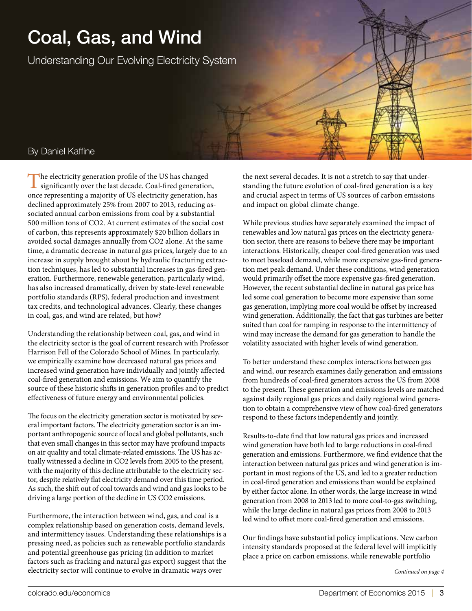# Coal, Gas, and Wind

Understanding Our Evolving Electricity System

#### By Daniel Kaffine

The electricity generation profile of the US has changed significantly over the last decade. Coal-fired generation, once representing a majority of US electricity generation, has declined approximately 25% from 2007 to 2013, reducing associated annual carbon emissions from coal by a substantial 500 million tons of CO2. At current estimates of the social cost of carbon, this represents approximately \$20 billion dollars in avoided social damages annually from CO2 alone. At the same time, a dramatic decrease in natural gas prices, largely due to an increase in supply brought about by hydraulic fracturing extraction techniques, has led to substantial increases in gas-fired generation. Furthermore, renewable generation, particularly wind, has also increased dramatically, driven by state-level renewable portfolio standards (RPS), federal production and investment tax credits, and technological advances. Clearly, these changes in coal, gas, and wind are related, but how?

Understanding the relationship between coal, gas, and wind in the electricity sector is the goal of current research with Professor Harrison Fell of the Colorado School of Mines. In particularly, we empirically examine how decreased natural gas prices and increased wind generation have individually and jointly affected coal-fired generation and emissions. We aim to quantify the source of these historic shifts in generation profiles and to predict effectiveness of future energy and environmental policies.

The focus on the electricity generation sector is motivated by several important factors. The electricity generation sector is an important anthropogenic source of local and global pollutants, such that even small changes in this sector may have profound impacts on air quality and total climate-related emissions. The US has actually witnessed a decline in CO2 levels from 2005 to the present, with the majority of this decline attributable to the electricity sector, despite relatively flat electricity demand over this time period. As such, the shift out of coal towards and wind and gas looks to be driving a large portion of the decline in US CO2 emissions.

Furthermore, the interaction between wind, gas, and coal is a complex relationship based on generation costs, demand levels, and intermittency issues. Understanding these relationships is a pressing need, as policies such as renewable portfolio standards and potential greenhouse gas pricing (in addition to market factors such as fracking and natural gas export) suggest that the electricity sector will continue to evolve in dramatic ways over

the next several decades. It is not a stretch to say that understanding the future evolution of coal-fired generation is a key and crucial aspect in terms of US sources of carbon emissions and impact on global climate change.

While previous studies have separately examined the impact of renewables and low natural gas prices on the electricity generation sector, there are reasons to believe there may be important interactions. Historically, cheaper coal-fired generation was used to meet baseload demand, while more expensive gas-fired generation met peak demand. Under these conditions, wind generation would primarily offset the more expensive gas-fired generation. However, the recent substantial decline in natural gas price has led some coal generation to become more expensive than some gas generation, implying more coal would be offset by increased wind generation. Additionally, the fact that gas turbines are better suited than coal for ramping in response to the intermittency of wind may increase the demand for gas generation to handle the volatility associated with higher levels of wind generation.

To better understand these complex interactions between gas and wind, our research examines daily generation and emissions from hundreds of coal-fired generators across the US from 2008 to the present. These generation and emissions levels are matched against daily regional gas prices and daily regional wind generation to obtain a comprehensive view of how coal-fired generators respond to these factors independently and jointly.

Results-to-date find that low natural gas prices and increased wind generation have both led to large reductions in coal-fired generation and emissions. Furthermore, we find evidence that the interaction between natural gas prices and wind generation is important in most regions of the US, and led to a greater reduction in coal-fired generation and emissions than would be explained by either factor alone. In other words, the large increase in wind generation from 2008 to 2013 led to more coal-to-gas switching, while the large decline in natural gas prices from 2008 to 2013 led wind to offset more coal-fired generation and emissions.

Our findings have substantial policy implications. New carbon intensity standards proposed at the federal level will implicitly place a price on carbon emissions, while renewable portfolio

*Continued on page 4*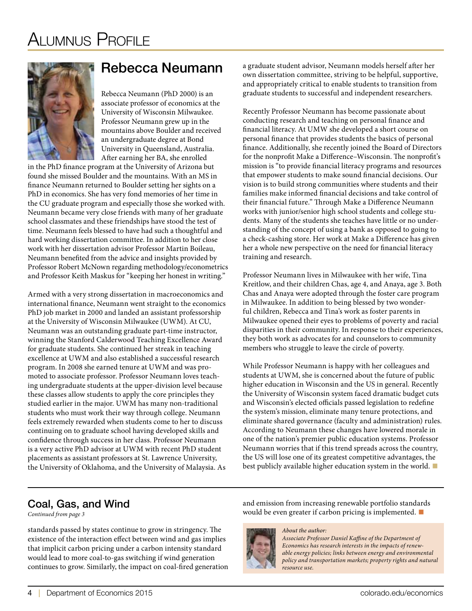

## Rebecca Neumann

Rebecca Neumann (PhD 2000) is an associate professor of economics at the University of Wisconsin Milwaukee. Professor Neumann grew up in the mountains above Boulder and received an undergraduate degree at Bond University in Queensland, Australia. After earning her BA, she enrolled

in the PhD finance program at the University of Arizona but found she missed Boulder and the mountains. With an MS in finance Neumann returned to Boulder setting her sights on a PhD in economics. She has very fond memories of her time in the CU graduate program and especially those she worked with. Neumann became very close friends with many of her graduate school classmates and these friendships have stood the test of time. Neumann feels blessed to have had such a thoughtful and hard working dissertation committee. In addition to her close work with her dissertation advisor Professor Martin Boileau, Neumann benefited from the advice and insights provided by Professor Robert McNown regarding methodology/econometrics and Professor Keith Maskus for "keeping her honest in writing."

Armed with a very strong dissertation in macroeconomics and international finance, Neumann went straight to the economics PhD job market in 2000 and landed an assistant professorship at the University of Wisconsin Milwaukee (UWM). At CU, Neumann was an outstanding graduate part-time instructor, winning the Stanford Calderwood Teaching Excellence Award for graduate students. She continued her streak in teaching excellence at UWM and also established a successful research program. In 2008 she earned tenure at UWM and was promoted to associate professor. Professor Neumann loves teaching undergraduate students at the upper-division level because these classes allow students to apply the core principles they studied earlier in the major. UWM has many non-traditional students who must work their way through college. Neumann feels extremely rewarded when students come to her to discuss continuing on to graduate school having developed skills and confidence through success in her class. Professor Neumann is a very active PhD advisor at UWM with recent PhD student placements as assistant professors at St. Lawrence University, the University of Oklahoma, and the University of Malaysia. As a graduate student advisor, Neumann models herself after her own dissertation committee, striving to be helpful, supportive, and appropriately critical to enable students to transition from graduate students to successful and independent researchers.

Recently Professor Neumann has become passionate about conducting research and teaching on personal finance and financial literacy. At UMW she developed a short course on personal finance that provides students the basics of personal finance. Additionally, she recently joined the Board of Directors for the nonprofit Make a Difference–Wisconsin. The nonprofit's mission is "to provide financial literacy programs and resources that empower students to make sound financial decisions. Our vision is to build strong communities where students and their families make informed financial decisions and take control of their financial future." Through Make a Difference Neumann works with junior/senior high school students and college students. Many of the students she teaches have little or no understanding of the concept of using a bank as opposed to going to a check-cashing store. Her work at Make a Difference has given her a whole new perspective on the need for financial literacy training and research.

Professor Neumann lives in Milwaukee with her wife, Tina Kreitlow, and their children Chas, age 4, and Anaya, age 3. Both Chas and Anaya were adopted through the foster care program in Milwaukee. In addition to being blessed by two wonderful children, Rebecca and Tina's work as foster parents in Milwaukee opened their eyes to problems of poverty and racial disparities in their community. In response to their experiences, they both work as advocates for and counselors to community members who struggle to leave the circle of poverty.

While Professor Neumann is happy with her colleagues and students at UWM, she is concerned about the future of public higher education in Wisconsin and the US in general. Recently the University of Wisconsin system faced dramatic budget cuts and Wisconsin's elected officials passed legislation to redefine the system's mission, eliminate many tenure protections, and eliminate shared governance (faculty and administration) rules. According to Neumann these changes have lowered morale in one of the nation's premier public education systems. Professor Neumann worries that if this trend spreads across the country, the US will lose one of its greatest competitive advantages, the best publicly available higher education system in the world. ■

### Coal, Gas, and Wind

*Continued from page 3*

standards passed by states continue to grow in stringency. The existence of the interaction effect between wind and gas implies that implicit carbon pricing under a carbon intensity standard would lead to more coal-to-gas switching if wind generation continues to grow. Similarly, the impact on coal-fired generation and emission from increasing renewable portfolio standards would be even greater if carbon pricing is implemented. ■



*About the author: Associate Professor Daniel Kaffine of the Department of Economics has research interests in the impacts of renewable energy policies; links between energy and environmental policy and transportation markets; property rights and natural resource use.*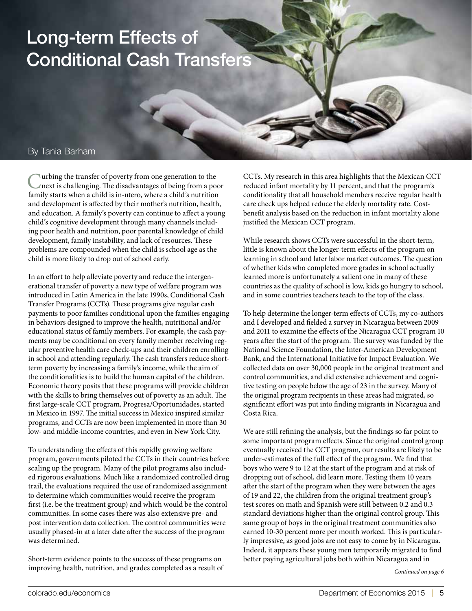## Long-term Effects of Conditional Cash Transfers

#### By Tania Barham

Curbing the transfer of poverty from one generation to the next is challenging. The disadvantages of being from a poor family starts when a child is in-utero, where a child's nutrition and development is affected by their mother's nutrition, health, and education. A family's poverty can continue to affect a young child's cognitive development through many channels including poor health and nutrition, poor parental knowledge of child development, family instability, and lack of resources. These problems are compounded when the child is school age as the child is more likely to drop out of school early.

In an effort to help alleviate poverty and reduce the intergenerational transfer of poverty a new type of welfare program was introduced in Latin America in the late 1990s, Conditional Cash Transfer Programs (CCTs). These programs give regular cash payments to poor families conditional upon the families engaging in behaviors designed to improve the health, nutritional and/or educational status of family members. For example, the cash payments may be conditional on every family member receiving regular preventive health care check-ups and their children enrolling in school and attending regularly. The cash transfers reduce shortterm poverty by increasing a family's income, while the aim of the conditionalities is to build the human capital of the children. Economic theory posits that these programs will provide children with the skills to bring themselves out of poverty as an adult. The first large-scale CCT program, Progresa/Oportunidades, started in Mexico in 1997. The initial success in Mexico inspired similar programs, and CCTs are now been implemented in more than 30 low- and middle-income countries, and even in New York City.

To understanding the effects of this rapidly growing welfare program, governments piloted the CCTs in their countries before scaling up the program. Many of the pilot programs also included rigorous evaluations. Much like a randomized controlled drug trail, the evaluations required the use of randomized assignment to determine which communities would receive the program first (i.e. be the treatment group) and which would be the control communities. In some cases there was also extensive pre- and post intervention data collection. The control communities were usually phased-in at a later date after the success of the program was determined.

Short-term evidence points to the success of these programs on improving health, nutrition, and grades completed as a result of CCTs. My research in this area highlights that the Mexican CCT reduced infant mortality by 11 percent, and that the program's conditionality that all household members receive regular health care check ups helped reduce the elderly mortality rate. Costbenefit analysis based on the reduction in infant mortality alone justified the Mexican CCT program.

While research shows CCTs were successful in the short-term, little is known about the longer-term effects of the program on learning in school and later labor market outcomes. The question of whether kids who completed more grades in school actually learned more is unfortunately a salient one in many of these countries as the quality of school is low, kids go hungry to school, and in some countries teachers teach to the top of the class.

To help determine the longer-term effects of CCTs, my co-authors and I developed and fielded a survey in Nicaragua between 2009 and 2011 to examine the effects of the Nicaragua CCT program 10 years after the start of the program. The survey was funded by the National Science Foundation, the Inter-American Development Bank, and the International Initiative for Impact Evaluation. We collected data on over 30,000 people in the original treatment and control communities, and did extensive achievement and cognitive testing on people below the age of 23 in the survey. Many of the original program recipients in these areas had migrated, so significant effort was put into finding migrants in Nicaragua and Costa Rica.

We are still refining the analysis, but the findings so far point to some important program effects. Since the original control group eventually received the CCT program, our results are likely to be under-estimates of the full effect of the program. We find that boys who were 9 to 12 at the start of the program and at risk of dropping out of school, did learn more. Testing them 10 years after the start of the program when they were between the ages of 19 and 22, the children from the original treatment group's test scores on math and Spanish were still between 0.2 and 0.3 standard deviations higher than the original control group. This same group of boys in the original treatment communities also earned 10-30 percent more per month worked. This is particularly impressive, as good jobs are not easy to come by in Nicaragua. Indeed, it appears these young men temporarily migrated to find better paying agricultural jobs both within Nicaragua and in

*Continued on page 6*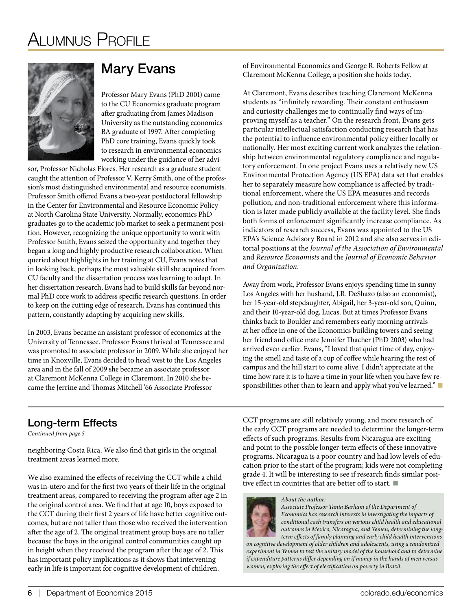

## Mary Evans

Professor Mary Evans (PhD 2001) came to the CU Economics graduate program after graduating from James Madison University as the outstanding economics BA graduate of 1997. After completing PhD core training, Evans quickly took to research in environmental economics working under the guidance of her advi-

sor, Professor Nicholas Flores. Her research as a graduate student caught the attention of Professor V. Kerry Smith, one of the profession's most distinguished environmental and resource economists. Professor Smith offered Evans a two-year postdoctoral fellowship in the Center for Environmental and Resource Economic Policy at North Carolina State University. Normally, economics PhD graduates go to the academic job market to seek a permanent position. However, recognizing the unique opportunity to work with Professor Smith, Evans seized the opportunity and together they began a long and highly productive research collaboration. When queried about highlights in her training at CU, Evans notes that in looking back, perhaps the most valuable skill she acquired from CU faculty and the dissertation process was learning to adapt. In her dissertation research, Evans had to build skills far beyond normal PhD core work to address specific research questions. In order to keep on the cutting edge of research, Evans has continued this pattern, constantly adapting by acquiring new skills.

In 2003, Evans became an assistant professor of economics at the University of Tennessee. Professor Evans thrived at Tennessee and was promoted to associate professor in 2009. While she enjoyed her time in Knoxville, Evans decided to head west to the Los Angeles area and in the fall of 2009 she became an associate professor at Claremont McKenna College in Claremont. In 2010 she became the Jerrine and Thomas Mitchell '66 Associate Professor

of Environmental Economics and George R. Roberts Fellow at Claremont McKenna College, a position she holds today.

At Claremont, Evans describes teaching Claremont McKenna students as "infinitely rewarding. Their constant enthusiasm and curiosity challenges me to continually find ways of improving myself as a teacher." On the research front, Evans gets particular intellectual satisfaction conducting research that has the potential to influence environmental policy either locally or nationally. Her most exciting current work analyzes the relationship between environmental regulatory compliance and regulatory enforcement. In one project Evans uses a relatively new US Environmental Protection Agency (US EPA) data set that enables her to separately measure how compliance is affected by traditional enforcement, where the US EPA measures and records pollution, and non-traditional enforcement where this information is later made publicly available at the facility level. She finds both forms of enforcement significantly increase compliance. As indicators of research success, Evans was appointed to the US EPA's Science Advisory Board in 2012 and she also serves in editorial positions at the *Journal of the Association of Environmental* and *Resource Economists* and the *Journal of Economic Behavior and Organization*.

Away from work, Professor Evans enjoys spending time in sunny Los Angeles with her husband, J.R. DeShazo (also an economist), her 15-year-old stepdaughter, Abigail, her 3-year-old son, Quinn, and their 10-year-old dog, Lucas. But at times Professor Evans thinks back to Boulder and remembers early morning arrivals at her office in one of the Economics building towers and seeing her friend and office mate Jennifer Thacher (PhD 2003) who had arrived even earlier. Evans, "I loved that quiet time of day, enjoying the smell and taste of a cup of coffee while hearing the rest of campus and the hill start to come alive. I didn't appreciate at the time how rare it is to have a time in your life when you have few responsibilities other than to learn and apply what you've learned." ■

*Continued from page 5*

neighboring Costa Rica. We also find that girls in the original treatment areas learned more.

We also examined the effects of receiving the CCT while a child was in-utero and for the first two years of their life in the original treatment areas, compared to receiving the program after age 2 in the original control area. We find that at age 10, boys exposed to the CCT during their first 2 years of life have better cognitive outcomes, but are not taller than those who received the intervention after the age of 2. The original treatment group boys are no taller because the boys in the original control communities caught up in height when they received the program after the age of 2. This has important policy implications as it shows that intervening early in life is important for cognitive development of children.

**Long-term Effects** CCT programs are still relatively young, and more research of the early CCT programs are needed to determine the longer-term effects of such programs. Results from Nicaragua are exciting and point to the possible longer-term effects of these innovative programs. Nicaragua is a poor country and had low levels of education prior to the start of the program; kids were not completing grade 4. It will be interesting to see if research finds similar positive effect in countries that are better off to start. ■

# *About the author:*

*Associate Professor Tania Barham of the Department of Economics has research interests in investigating the impacts of conditional cash transfers on various child health and educational outcomes in Mexico, Nicaragua, and Yemen, determining the longterm effects of family planning and early child health interventions* 

*on cognitive development of older children and adolescents, using a randomized experiment in Yemen to test the unitary model of the household and to determine if expenditure patterns differ depending on if money in the hands of men versus women, exploring the effect of electification on poverty in Brazil.*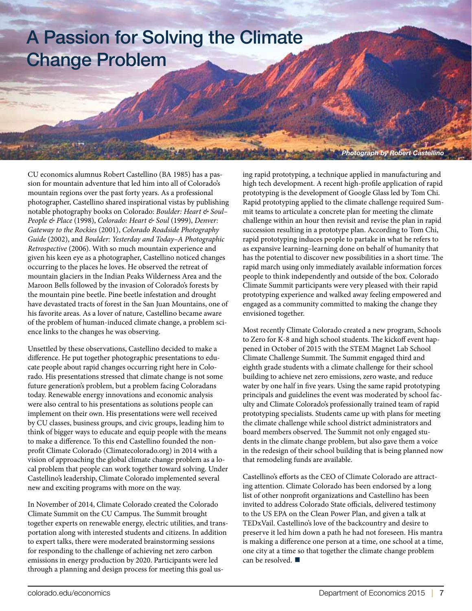## A Passion for Solving the Climate Change Problem

CU economics alumnus Robert Castellino (BA 1985) has a passion for mountain adventure that led him into all of Colorado's mountain regions over the past forty years. As a professional photographer, Castellino shared inspirational vistas by publishing notable photography books on Colorado: *Boulder: Heart & Soul– People & Place* (1998), *Colorado: Heart & Soul* (1999), *Denver: Gateway to the Rockies* (2001), *Colorado Roadside Photography Guide* (2002), and *Boulder: Yesterday and Today–A Photographic Retrospective* (2006). With so much mountain experience and given his keen eye as a photographer, Castellino noticed changes occurring to the places he loves. He observed the retreat of mountain glaciers in the Indian Peaks Wilderness Area and the Maroon Bells followed by the invasion of Colorado's forests by the mountain pine beetle. Pine beetle infestation and drought have devastated tracts of forest in the San Juan Mountains, one of his favorite areas. As a lover of nature, Castellino became aware of the problem of human-induced climate change, a problem science links to the changes he was observing.

Unsettled by these observations, Castellino decided to make a difference. He put together photographic presentations to educate people about rapid changes occurring right here in Colorado. His presentations stressed that climate change is not some future generation's problem, but a problem facing Coloradans today. Renewable energy innovations and economic analysis were also central to his presentations as solutions people can implement on their own. His presentations were well received by CU classes, business groups, and civic groups, leading him to think of bigger ways to educate and equip people with the means to make a difference. To this end Castellino founded the nonprofit Climate Colorado (Climatecolorado.org) in 2014 with a vision of approaching the global climate change problem as a local problem that people can work together toward solving. Under Castellino's leadership, Climate Colorado implemented several new and exciting programs with more on the way.

In November of 2014, Climate Colorado created the Colorado Climate Summit on the CU Campus. The Summit brought together experts on renewable energy, electric utilities, and transportation along with interested students and citizens. In addition to expert talks, there were moderated brainstorming sessions for responding to the challenge of achieving net zero carbon emissions in energy production by 2020. Participants were led through a planning and design process for meeting this goal using rapid prototyping, a technique applied in manufacturing and high tech development. A recent high-profile application of rapid prototyping is the development of Google Glass led by Tom Chi. Rapid prototyping applied to the climate challenge required Summit teams to articulate a concrete plan for meeting the climate challenge within an hour then revisit and revise the plan in rapid succession resulting in a prototype plan. According to Tom Chi, rapid prototyping induces people to partake in what he refers to as expansive learning–learning done on behalf of humanity that has the potential to discover new possibilities in a short time. The rapid march using only immediately available information forces people to think independently and outside of the box. Colorado Climate Summit participants were very pleased with their rapid prototyping experience and walked away feeling empowered and engaged as a community committed to making the change they envisioned together.

*Photograph by Robert Castellino*

Most recently Climate Colorado created a new program, Schools to Zero for K-8 and high school students. The kickoff event happened in October of 2015 with the STEM Magnet Lab School Climate Challenge Summit. The Summit engaged third and eighth grade students with a climate challenge for their school building to achieve net zero emissions, zero waste, and reduce water by one half in five years. Using the same rapid prototyping principals and guidelines the event was moderated by school faculty and Climate Colorado's professionally trained team of rapid prototyping specialists. Students came up with plans for meeting the climate challenge while school district administrators and board members observed. The Summit not only engaged students in the climate change problem, but also gave them a voice in the redesign of their school building that is being planned now that remodeling funds are available.

Castellino's efforts as the CEO of Climate Colorado are attracting attention. Climate Colorado has been endorsed by a long list of other nonprofit organizations and Castellino has been invited to address Colorado State officials, delivered testimony to the US EPA on the Clean Power Plan, and given a talk at TEDxVail. Castellino's love of the backcountry and desire to preserve it led him down a path he had not foreseen. His mantra is making a difference one person at a time, one school at a time, one city at a time so that together the climate change problem can be resolved. ■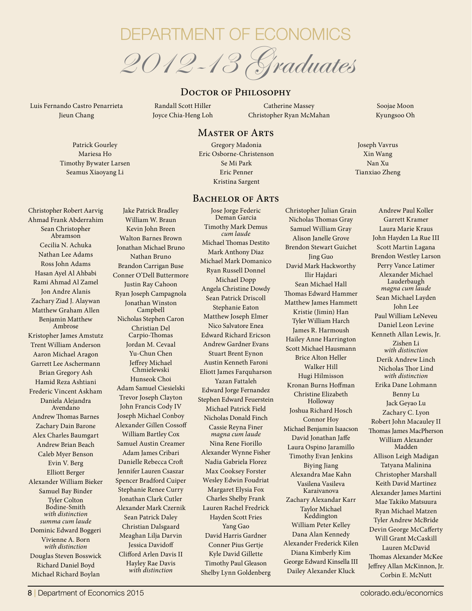

#### DOCTOR OF PHILOSOPHY

Luis Fernando Castro Penarrieta Jieun Chang

Randall Scott Hiller Joyce Chia-Heng Loh

Catherine Massey Christopher Ryan McMahan

#### MASTER OF ARTS

Patrick Gourley Mariesa Ho Timothy Bywater Larsen Seamus Xiaoyang Li

Gregory Madonia Eric Osborne-Christenson Se Mi Park Eric Penner Kristina Sargent

#### BACHELOR OF ARTS

Christopher Robert Aarvig Ahmad Frank Abderrahim Sean Christopher Abramson Cecilia N. Achuka Nathan Lee Adams Ross John Adams Hasan Ayel Al Ahbabi Rami Ahmad Al Zamel Jon Andre Alanis Zachary Ziad J. Alaywan Matthew Graham Allen Benjamin Matthew Ambrose Kristopher James Amstutz Trent William Anderson Aaron Michael Aragon Garrett Lee Aschermann Brian Gregory Ash Hamid Reza Ashtiani Frederic Vincent Askham Daniela Alejandra Avendano Andrew Thomas Barnes Zachary Dain Barone Alex Charles Baumgart Andrew Brian Beach Caleb Myer Benson Evin V. Berg Elliott Berger Alexander William Bieker Samuel Bay Binder Tyler Colton Bodine-Smith *with distinction summa cum laude* Dominic Edward Boggeri Vivienne A. Born *with distinction* Douglas Steven Bosswick Richard Daniel Boyd Michael Richard Boylan

William W. Braun Kevin John Breen Walton Barnes Brown Jonathan Michael Bruno Nathan Bruno Brandon Carrigan Buse Conner O'Dell Buttermore Justin Ray Cahoon Ryan Joseph Campagnola Jonathan Winston Campbell Nicholas Stephen Caron Christian Del Carpio-Thomas Jordan M. Cevaal Yu-Chun Chen Jeffrey Michael Chmielewski Hunseok Choi Adam Samuel Ciesielski Trevor Joseph Clayton John Francis Cody IV Joseph Michael Conboy Alexander Gillen Cossoff William Bartley Cox Samuel Austin Creamer Adam James Cribari Danielle Rebecca Croft Jennifer Lauren Csaszar Spencer Bradford Cuiper Stephanie Renee Curry Jonathan Clark Cutler Alexander Mark Czernik Sean Patrick Daley Christian Dalsgaard Meaghan Lilja Darvin Jessica Davidoff Clifford Arlen Davis II Hayley Rae Davis *with distinction*

Jake Patrick Bradley

Jose Jorge Federic Deman Garcia Timothy Mark Demus *cum laude* Michael Thomas Destito Mark Anthony Diaz Michael Mark Domanico Ryan Russell Donnel Michael Dopp Angela Christine Dowdy Sean Patrick Driscoll Stephanie Eaton Matthew Joseph Elmer Nico Salvatore Enea Edward Richard Ericson Andrew Gardner Evans Stuart Brent Eynon Austin Kenneth Faroni Eliott James Farquharson Yazan Fattaleh Edward Jorge Fernandez Stephen Edward Feuerstein Michael Patrick Field Nicholas Donald Finch Cassie Reyna Finer *magna cum laude* Nina Rene Fiorillo Alexander Wynne Fisher Nadia Gabriela Florez Max Cooksey Forster Wesley Edwin Foudriat Margaret Elysia Fox Charles Shelby Frank Lauren Rachel Fredrick Hayden Scott Fries Yang Gao David Harris Gardner Conner Pius Gertje Kyle David Gillette Timothy Paul Gleason Shelby Lynn Goldenberg

Christopher Julian Grain Nicholas Thomas Gray Samuel William Gray Alison Janelle Grove Brendon Stewart Guichet Jing Guo David Mark Hackworthy Ilir Hajdari Sean Michael Hall Thomas Edward Hammer Matthew James Hammett Kristie (Jimin) Han Tyler William Harch James R. Harmoush Hailey Anne Harrington Scott Michael Hausmann Brice Alton Heller Walker Hill Hugi Hilmisson Kronan Burns Hoffman Christine Elizabeth Holloway Joshua Richard Hosch Connor Hoy Michael Benjamin Isaacson David Jonathan Jaffe Laura Ospino Jaramillo Timothy Evan Jenkins Biying Jiang Alexandra Mae Kahn Vasilena Vasileva Karaivanova Zachary Alexandar Karr Taylor Michael Keddington William Peter Kelley Dana Alan Kennedy Alexander Frederick Kilen Diana Kimberly Kim George Edward Kinsella III Dailey Alexander Kluck

Soojae Moon Kyungsoo Oh

Joseph Vavrus Xin Wang Nan Xu Tianxiao Zheng

> Andrew Paul Koller Garrett Kramer Laura Marie Kraus John Hayden La Rue III Scott Martin Lagana Brendon Westley Larson Perry Vance Latimer Alexander Michael Lauderbaugh *magna cum laude* Sean Michael Layden John Lee Paul William LeNeveu Daniel Leon Levine Kenneth Allan Lewis, Jr. Zishen Li *with distinction* Derik Andrew Linch Nicholas Thor Lind *with distinction* Erika Dane Lohmann Benny Lu Jack Geyao Lu Zachary C. Lyon Robert John Macauley II Thomas James MacPherson William Alexander Madden Allison Leigh Madigan Tatyana Malinina Christopher Marshall Keith David Martinez Alexander James Martini Mae Takiko Matsuura Ryan Michael Matzen Tyler Andrew McBride Devin George McCafferty Will Grant McCaskill Lauren McDavid Thomas Alexander McKee Jeffrey Allan McKinnon, Jr. Corbin E. McNutt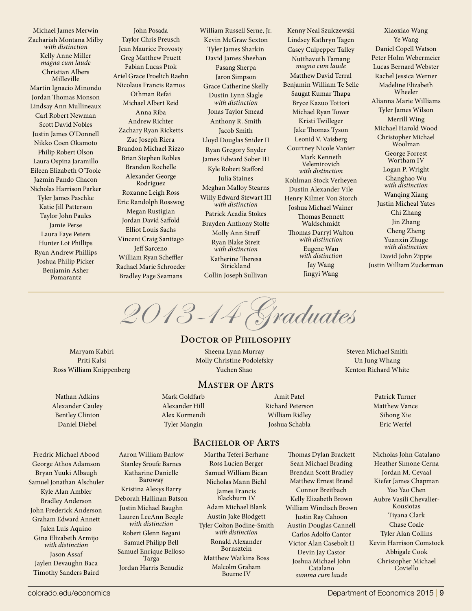Michael James Merwin Zachariah Montana Milby *with distinction* Kelly Anne Miller *magna cum laude* Christian Albers Milleville Martin Ignacio Minondo Jordan Thomas Monson Lindsay Ann Mullineaux Carl Robert Newman Scott David Nobles Justin James O'Donnell Nikko Coen Okamoto Philip Robert Olson Laura Ospina Jaramillo Eileen Elizabeth O'Toole Jazmin Pando Chacon Nicholas Harrison Parker Tyler James Paschke Katie Jill Patterson Taylor John Paules Jamie Perse Laura Faye Peters Hunter Lot Phillips Ryan Andrew Phillips Joshua Philip Picker Benjamin Asher Pomarantz

John Posada Taylor Chris Preusch Jean Maurice Provosty Greg Matthew Pruett Fabian Lucas Ptok Ariel Grace Froelich Raehn Nicolaus Francis Ramos Othman Refai Michael Albert Reid Anna Riba Andrew Richter Zachary Ryan Ricketts Zac Joseph Riera Brandon Michael Rizzo Brian Stephen Robles Brandon Rochelle Alexander George Rodriguez Roxanne Leigh Ross Eric Randolph Rosswog Megan Rustigian Jordan David Saffold Elliot Louis Sachs Vincent Craig Santiago Jeff Sarceno William Ryan Scheffler Rachael Marie Schroeder Bradley Page Seamans

William Russell Serne, Jr. Kevin McGraw Sexton Tyler James Sharkin David James Sheehan Pasang Sherpa Jaron Simpson Grace Catherine Skelly Dustin Lynn Slagle *with distinction* Jonas Taylor Smead Anthony R. Smith Jacob Smith Lloyd Douglas Snider II Ryan Gregory Snyder James Edward Sober III Kyle Robert Stafford Julia Staines Meghan Malloy Stearns Willy Edward Stewart III *with distinction* Patrick Acadia Stokes Brayden Anthony Stolfe Molly Ann Streff Ryan Blake Streit *with distinction* Katherine Theresa Strickland

Collin Joseph Sullivan

Kenny Neal Szulczewski Lindsey Kathryn Tagen Casey Culpepper Talley Nutthavuth Tamang *magna cum laude* Matthew David Terral Benjamin William Te Selle Saugat Kumar Thapa Bryce Kazuo Tottori Michael Ryan Tower Kristi Twilleger Jake Thomas Tyson Leonid V. Vaisberg Courtney Nicole Vanier Mark Kenneth Velemirovich *with distinction* Kohlman Stock Verheyen Dustin Alexander Vile Henry Kilmer Von Storch Joshua Michael Wainer Thomas Bennett Waldschmidt Thomas Darryl Walton *with distinction* Eugene Wan *with distinction*  Jay Wang Jingyi Wang

Xiaoxiao Wang Ye Wang Daniel Copell Watson Peter Holm Webermeier Lucas Bernard Webster Rachel Jessica Werner Madeline Elizabeth Wheeler Alianna Marie Williams Tyler James Wilson Merrill Wing Michael Harold Wood Christopher Michael Woolman George Forrest Wortham IV Logan P. Wright Changhao Wu *with distinction* Wanqing Xiang Justin Micheal Yates Chi Zhang Jin Zhang Cheng Zheng Yuanxin Zhuge *with distinction* David John Zippie Justin William Zuckerman

2013-14 Graduates

#### DOCTOR OF PHILOSOPHY

Maryam Kabiri Priti Kalsi Ross William Knippenberg

Nathan Adkins Alexander Cauley Bentley Clinton Daniel Diebel

Sheena Lynn Murray Molly Christine Podolefsky Yuchen Shao

#### Master of Arts

BACHELOR OF ARTS

Mark Goldfarb Alexander Hill Alex Kormendi Tyler Mangin

Amit Patel Richard Peterson William Ridley Joshua Schabla

Steven Michael Smith Un Jung Whang Kenton Richard White

> Patrick Turner Matthew Vance Sihong Xie Eric Werfel

Fredric Michael Abood George Athos Adamson Bryan Yuuki Albaugh Samuel Jonathan Alschuler Kyle Alan Ambler Bradley Anderson John Frederick Anderson Graham Edward Annett Jalen Luis Aquino Gina Elizabeth Armijo *with distinction* Jason Assaf Jaylen Devaughn Baca Timothy Sanders Baird

Aaron William Barlow Stanley Sroufe Barnes Katharine Danielle Baroway Kristina Alexys Barry Deborah Hallinan Batson Justin Michael Baughn Lauren LeeAnn Beegle *with distinction* Robert Glenn Begani Samuel Philipp Bell Samuel Enrique Belloso Targa Jordan Harris Benudiz

Martha Teferi Berhane Ross Lucien Berger Samuel William Bican Nicholas Mann Biehl James Francis Blackburn IV Adam Michael Blank Austin Jake Blodgett Tyler Colton Bodine-Smith *with distinction* Ronald Alexander Bornsztein Matthew Watkins Boss Malcolm Graham Bourne IV

Thomas Dylan Brackett Sean Michael Brading Brendan Scott Bradley Matthew Ernest Brand Connor Breitbach Kelly Elizabeth Brown William Windisch Brown Justin Ray Cahoon Austin Douglas Cannell Carlos Adolfo Cantor Victor Alan Casebolt II Devin Jay Castor Joshua Michael John Catalano *summa cum laude*

Nicholas John Catalano Heather Simone Cerna Jordan M. Cevaal Kiefer James Chapman Yao Yao Chen Aubre Vasili Chevalier-Kousiotas Tiyana Clark Chase Coale Tyler Alan Collins Kevin Harrison Comstock Abbigale Cook Christopher Michael Coviello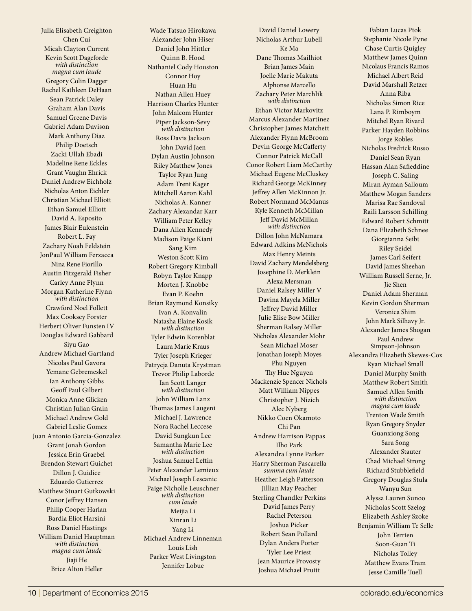Julia Elisabeth Creighton Chen Cui Micah Clayton Current Kevin Scott Dageforde *with distinction magna cum laude* Gregory Colin Dagger Rachel Kathleen DeHaan Sean Patrick Daley Graham Alan Davis Samuel Greene Davis Gabriel Adam Davison Mark Anthony Diaz Philip Doetsch Zacki Ullah Ebadi Madeline Rene Eckles Grant Vaughn Ehrick Daniel Andrew Eichholz Nicholas Anton Eichler Christian Michael Elliott Ethan Samuel Elliott David A. Esposito James Blair Eulenstein Robert L. Fay Zachary Noah Feldstein JonPaul William Ferzacca Nina Rene Fiorillo Austin Fitzgerald Fisher Carley Anne Flynn Morgan Katherine Flynn *with distinction* Crawford Noel Follett Max Cooksey Forster Herbert Oliver Funsten IV Douglas Edward Gabbard Siyu Gao Andrew Michael Gartland Nicolas Paul Gavora Yemane Gebremeskel Ian Anthony Gibbs Geoff Paul Gilbert Monica Anne Glicken Christian Julian Grain Michael Andrew Gold Gabriel Leslie Gomez Juan Antonio Garcia-Gonzalez Grant Jonah Gordon Jessica Erin Graebel Brendon Stewart Guichet Dillon J. Guidice Eduardo Gutierrez Matthew Stuart Gutkowski Conor Jeffrey Hansen Philip Cooper Harlan Bardia Eliot Harsini Ross Daniel Hastings William Daniel Hauptman *with distinction magna cum laude* Jiaji He Brice Alton Heller

Wade Tatsuo Hirokawa Alexander John Hiser Daniel John Hittler Quinn B. Hood Nathaniel Cody Houston Connor Hoy Huan Hu Nathan Allen Huey Harrison Charles Hunter John Malcom Hunter Piper Jackson-Sevy *with distinction* Ross Davis Jackson John David Jaen Dylan Austin Johnson Riley Matthew Jones Taylor Ryan Jung Adam Trent Kager Mitchell Aaron Kahl Nicholas A. Kanner Zachary Alexandar Karr William Peter Kelley Dana Allen Kennedy Madison Paige Kiani Sang Kim Weston Scott Kim Robert Gregory Kimball Robyn Taylor Knapp Morten J. Knobbe Evan P. Koehn Brian Raymond Konsiky Ivan A. Konvalin Natasha Elaine Kosik *with distinction* Tyler Edwin Korenblat Laura Marie Kraus Tyler Joseph Krieger Patrycja Danuta Krystman Trevor Philip Laborde Ian Scott Langer *with distinction* John William Lanz Thomas James Laugeni Michael J. Lawrence Nora Rachel Leccese David Sungkun Lee Samantha Marie Lee *with distinction* Joshua Samuel Leftin Peter Alexander Lemieux Michael Joseph Lescanic Paige Nicholle Leuschner *with distinction cum laude* Meijia Li Xinran Li Yang Li Michael Andrew Linneman Louis Lish Parker West Livingston Jennifer Lobue

David Daniel Lowery Nicholas Arthur Lubell Ke Ma Dane Thomas Mailhiot Brian James Main Joelle Marie Makuta Alphonse Marcello Zachary Peter Marchlik *with distinction* Ethan Victor Markovitz Marcus Alexander Martinez Christopher James Matchett Alexander Flynn McBroom Devin George McCafferty Connor Patrick McCall Conor Robert Liam McCarthy Michael Eugene McCluskey Richard George McKinney Jeffrey Allen McKinnon Jr. Robert Normand McManus Kyle Kenneth McMillan Jeff David McMillan *with distinction* Dillon John McNamara Edward Adkins McNichols Max Henry Meints David Zachary Mendelsberg Josephine D. Merklein Alexa Mersman Daniel Ralsey Miller V Davina Mayela Miller Jeffrey David Miller Julie Elise Bow Miller Sherman Ralsey Miller Nicholas Alexander Mohr Sean Michael Moser Jonathan Joseph Moyes Phu Nguyen Thy Hue Nguyen Mackenzie Spencer Nichols Matt William Nippes Christopher J. Nizich Alec Nyberg Nikko Coen Okamoto Chi Pan Andrew Harrison Pappas Ilho Park Alexandra Lynne Parker Harry Sherman Pascarella *summa cum laude* Heather Leigh Patterson Jillian May Peacher Sterling Chandler Perkins David James Perry Rachel Peterson Joshua Picker Robert Sean Pollard Dylan Anders Porter Tyler Lee Priest Jean Maurice Provosty Joshua Michael Pruitt

Fabian Lucas Ptok Stephanie Nicole Pyne Chase Curtis Quigley Matthew James Quinn Nicolaus Francis Ramos Michael Albert Reid David Marshall Retzer Anna Riba Nicholas Simon Rice Lana P. Rimboym Mitchel Ryan Rivard Parker Hayden Robbins Jorge Robles Nicholas Fredrick Russo Daniel Sean Ryan Hassan Alan Safieddine Joseph C. Saling Miran Ayman Salloum Matthew Mogan Sanders Marisa Rae Sandoval Raili Larsson Schilling Edward Robert Schmitt Dana Elizabeth Schnee Giorgianna Seibt Riley Seidel James Carl Seifert David James Sheehan William Russell Serne, Jr. Jie Shen Daniel Adam Sherman Kevin Gordon Sherman Veronica Shim John Mark Silhavy Jr. Alexander James Shogan Paul Andrew Simpson-Johnson Alexandra Elizabeth Skewes-Cox Ryan Michael Small Daniel Murphy Smith Matthew Robert Smith Samuel Allen Smith *with distinction magna cum laude* Trenton Wade Smith Ryan Gregory Snyder Guanxiong Song Sara Song Alexander Stauter Chad Michael Strong Richard Stubblefield Gregory Douglas Stula Wanyu Sun Alyssa Lauren Sunoo Nicholas Scott Szelog Elizabeth Ashley Szoke Benjamin William Te Selle John Terrien Soon-Guan Ti Nicholas Tolley Matthew Evans Tram Jesse Camille Tuell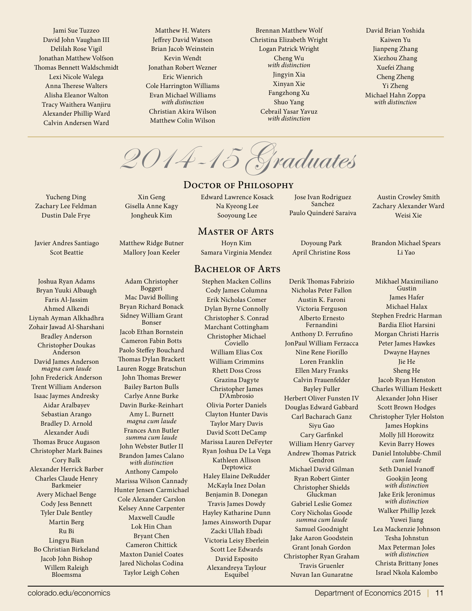Jami Sue Tuzzeo David John Vaughan III Delilah Rose Vigil Jonathan Matthew Volfson Thomas Bennett Waldschmidt Lexi Nicole Walega Anna Therese Walters Alisha Eleanor Walton Tracy Waithera Wanjiru Alexander Phillip Ward Calvin Andersen Ward

Matthew H. Waters Jeffrey David Watson Brian Jacob Weinstein Kevin Wendt Jonathan Robert Wezner Eric Wienrich Cole Harrington Williams Evan Michael Williams *with distinction* Christian Akira Wilson Matthew Colin Wilson

Brennan Matthew Wolf Christina Elizabeth Wright Logan Patrick Wright Cheng Wu *with distinction* Jingyin Xia Xinyan Xie Fangzhong Xu Shuo Yang Cebrail Yasar Yavuz *with distinction*

David Brian Yoshida Kaiwen Yu Jianpeng Zhang Xiezhou Zhang Xuefei Zhang Cheng Zheng Yi Zheng Michael Hahn Zoppa *with distinction*

2014-15 Graduates

#### DOCTOR OF PHILOSOPHY

Edward Lawrence Kosack Na Kyeong Lee Sooyoung Lee

#### Master of Arts

Hoyn Kim Samara Virginia Mendez

#### BACHELOR OF ARTS Stephen Macken Collins

Cody James Columna Erik Nicholas Comer Dylan Byrne Connolly Christopher S. Conrad Marchant Cottingham Christopher Michael Coviello William Elias Cox William Crimmins Rhett Doss Cross Grazina Dagyte Christopher James D'Ambrosio Olivia Porter Daniels Clayton Hunter Davis Taylor Mary Davis David Scott DeCamp Marissa Lauren DeFeyter Ryan Joshua De La Vega Kathleen Allison Deptowicz Haley Elaine DeRudder McKayla Inez Dolan Benjamin B. Donegan Travis James Dowdy Hayley Katharine Dunn James Ainsworth Dupar Zacki Ullah Ebadi Victoria Leisy Eberlein Scott Lee Edwards David Esposito Alexandreya Taylour Esquibel

Derik Thomas Fabrizio Nicholas Peter Fallon Austin K. Faroni Victoria Ferguson Alberto Ernesto Fernandini Anthony D. Ferrufino JonPaul William Ferzacca Nine Rene Fiorillo Loren Franklin Ellen Mary Franks Calvin Frauenfelder Bayley Fuller Herbert Oliver Funsten IV Douglas Edward Gabbard Carl Bacharach Ganz Siyu Gao Cary Garfinkel William Henry Garvey Andrew Thomas Patrick Gendron Michael David Gilman Ryan Robert Ginter Christopher Shields Gluckman Gabriel Leslie Gomez Cory Nicholas Goode *summa cum laude* Samuel Goodnight Jake Aaron Goodstein Grant Jonah Gordon Christopher Ryan Graham Travis Gruenler Nuvan Ian Gunaratne

Jose Ivan Rodriguez Sanchez Paulo Quinderé Saraiva

Doyoung Park April Christine Ross

Austin Crowley Smith Zachary Alexander Ward Weisi Xie

Brandon Michael Spears Li Yao

Mikhael Maximiliano Gustin James Hafer Michael Halax Stephen Fredric Harman Bardia Eliot Harsini Morgan Christi Harris Peter James Hawkes Dwayne Haynes Jie He Sheng He Jacob Ryan Henston Charles William Heskett Alexander John Hiser Scott Brown Hodges Christopher Tyler Holston James Hopkins Molly Jill Horowitz Kevin Barry Howes Daniel Intolubbe-Chmil *cum laude* Seth Daniel Ivanoff Gookjin Jeong *with distinction* Jake Erik Jeronimus *with distinction* Walker Phillip Jezek Yuwei Jiang Lea Mackenzie Johnson Tesha Johnstun Max Peterman Joles *with distinction* Christa Brittany Jones Israel Nkola Kalombo

Yucheng Ding Zachary Lee Feldman Dustin Dale Frye

Javier Andres Santiago Scot Beattie

Joshua Ryan Adams Bryan Yuuki Albaugh Faris Al-Jassim Ahmed Alkendi Liynah Ayman Alkhadhra Zohair Jawad Al-Sharshani Bradley Anderson Christopher Doukas Anderson David James Anderson *magna cum laude* John Frederick Anderson Trent William Anderson Isaac Jaymes Andresky Aidar Aralbayev Sebastian Arango Bradley D. Arnold Alexander Audi Thomas Bruce Augason Christopher Mark Baines Cory Balk Alexander Herrick Barber Charles Claude Henry Barkmeier Avery Michael Benge Cody Jess Bennett Tyler Dale Bentley Martin Berg Ru Bi Lingyu Bian Bo Christian Birkeland Jacob John Bishop Willem Raleigh Bloemsma

Xin Geng Gisella Anne Kagy Jongheuk Kim

Matthew Ridge Butner Mallory Joan Keeler

Adam Christopher Boggeri Mac David Bolling Bryan Richard Bonack Sidney William Grant Bonser Jacob Ethan Bornstein Cameron Fabin Botts Paolo Steffey Bouchard Thomas Dylan Brackett Lauren Rogge Bratschun John Thomas Brewer Bailey Barton Bulls Carlye Anne Burke Davin Burke-Reinhart Amy L. Burnett *magna cum laude* Frances Ann Butler *summa cum laude* John Webster Butler II Brandon James Calano *with distinction* Anthony Campolo Marissa Wilson Cannady Hunter Jensen Carmichael Cole Alexander Carslon Kelsey Anne Carpenter Maxwell Caudle Lok Hin Chan Bryant Chen Cameron Chittick Maxton Daniel Coates Jared Nicholas Codina Taylor Leigh Cohen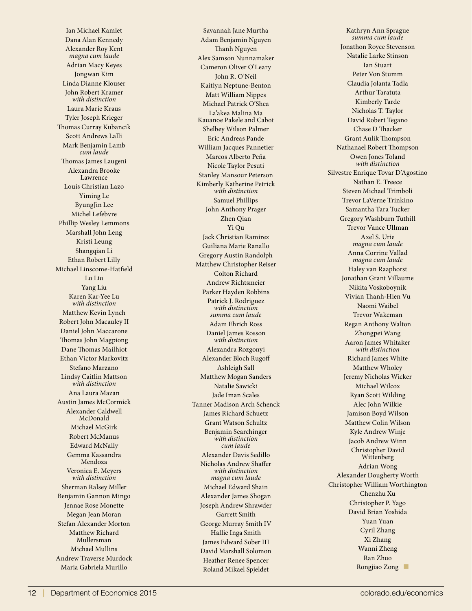Ian Michael Kamlet Dana Alan Kennedy Alexander Roy Kent *magna cum laude* Adrian Macy Keyes Jongwan Kim Linda Dianne Klouser John Robert Kramer *with distinction* Laura Marie Kraus Tyler Joseph Krieger Thomas Curray Kubancik Scott Andrews Lalli Mark Benjamin Lamb *cum laude* Thomas James Laugeni Alexandra Brooke Lawrence Louis Christian Lazo Yiming Le ByungJin Lee Michel Lefebvre Phillip Wesley Lemmons Marshall John Leng Kristi Leung Shangqian Li Ethan Robert Lilly Michael Linscome-Hatfield Lu Liu Yang Liu Karen Kar-Yee Lu *with distinction* Matthew Kevin Lynch Robert John Macauley II Daniel John Maccarone Thomas John Magpiong Dane Thomas Mailhiot Ethan Victor Markovitz Stefano Marzano Lindsy Caitlin Mattson *with distinction* Ana Laura Mazan Austin James McCormick Alexander Caldwell McDonald Michael McGirk Robert McManus Edward McNally Gemma Kassandra Mendoza Veronica E. Meyers *with distinction* Sherman Ralsey Miller Benjamin Gannon Mingo Jennae Rose Monette Megan Jean Moran Stefan Alexander Morton Matthew Richard Mullersman Michael Mullins Andrew Traverse Murdock Maria Gabriela Murillo

Savannah Jane Murtha Adam Benjamin Nguyen Thanh Nguyen Alex Samson Nunnamaker Cameron Oliver O'Leary John R. O'Neil Kaitlyn Neptune-Benton Matt William Nippes Michael Patrick O'Shea La'akea Malina Ma Kauanoe Pakele and Cabot Shelbey Wilson Palmer Eric Andreas Pande William Jacques Pannetier Marcos Alberto Peña Nicole Taylor Pesuti Stanley Mansour Peterson Kimberly Katherine Petrick *with distinction* Samuel Phillips John Anthony Prager Zhen Qian Yi Qu Jack Christian Ramirez Guiliana Marie Ranallo Gregory Austin Randolph Matthew Christopher Reiser Colton Richard Andrew Richtsmeier Parker Hayden Robbins Patrick J. Rodriguez *with distinction summa cum laude* Adam Ehrich Ross Daniel James Rosson *with distinction* Alexandra Rozgonyi Alexander Bloch Rugoff Ashleigh Sall Matthew Mogan Sanders Natalie Sawicki Jade Iman Scales Tanner Madison Arch Schenck James Richard Schuetz Grant Watson Schultz Benjamin Searchinger *with distinction cum laude* Alexander Davis Sedillo Nicholas Andrew Shaffer *with distinction magna cum laude* Michael Edward Shain Alexander James Shogan Joseph Andrew Shrawder Garrett Smith George Murray Smith IV Hallie Inga Smith James Edward Sober III David Marshall Solomon Heather Renee Spencer Roland Mikael Spjeldet

Kathryn Ann Sprague *summa cum laude* Jonathon Royce Stevenson Natalie Larke Stinson Ian Stuart Peter Von Stumm Claudia Jolanta Tadla Arthur Taratuta Kimberly Tarde Nicholas T. Taylor David Robert Tegano Chase D Thacker Grant Aulik Thompson Nathanael Robert Thompson Owen Jones Toland *with distinction* Silvestre Enrique Tovar D'Agostino Nathan E. Treece Steven Michael Trimboli Trevor LaVerne Trinkino Samantha Tara Tucker Gregory Washburn Tuthill Trevor Vance Ullman Axel S. Urie *magna cum laude* Anna Corrine Vallad *magna cum laude* Haley van Raaphorst Jonathan Grant Villaume Nikita Voskoboynik Vivian Thanh-Hien Vu Naomi Waibel Trevor Wakeman Regan Anthony Walton Zhongpei Wang Aaron James Whitaker *with distinction* Richard James White Matthew Wholey Jeremy Nicholas Wicker Michael Wilcox Ryan Scott Wilding Alec John Wilkie Jamison Boyd Wilson Matthew Colin Wilson Kyle Andrew Winje Jacob Andrew Winn Christopher David Wittenberg Adrian Wong Alexander Dougherty Worth Christopher William Worthington Chenzhu Xu Christopher P. Yago David Brian Yoshida Yuan Yuan Cyril Zhang Xi Zhang Wanni Zheng Ran Zhuo Rongjiao Zong ■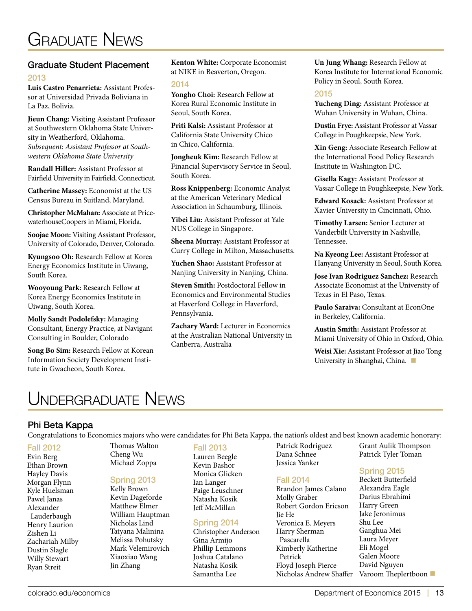#### Graduate Student Placement 2013

**Luis Castro Penarrieta:** Assistant Professor at Universidad Privada Boliviana in La Paz, Bolivia.

**Jieun Chang:** Visiting Assistant Professor at Southwestern Oklahoma State University in Weatherford, Oklahoma. *Subsequent: Assistant Professor at Southwestern Oklahoma State University* 

**Randall Hiller:** Assistant Professor at Fairfield University in Fairfield, Connecticut.

**Catherine Massey:** Economist at the US Census Bureau in Suitland, Maryland.

**Christopher McMahan:** Associate at PricewaterhouseCoopers in Miami, Florida.

**Soojae Moon:** Visiting Assistant Professor, University of Colorado, Denver, Colorado.

**Kyungsoo Oh:** Research Fellow at Korea Energy Economics Institute in Uiwang, South Korea.

**Wooyoung Park:** Research Fellow at Korea Energy Economics Institute in Uiwang, South Korea.

**Molly Sandt Podolefsky:** Managing Consultant, Energy Practice, at Navigant Consulting in Boulder, Colorado

**Song Bo Sim:** Research Fellow at Korean Information Society Development Institute in Gwacheon, South Korea.

**Kenton White:** Corporate Economist at NIKE in Beaverton, Oregon.

#### 2014

**Yongho Choi:** Research Fellow at Korea Rural Economic Institute in Seoul, South Korea.

**Priti Kalsi:** Assistant Professor at California State University Chico in Chico, California.

**Jongheuk Kim:** Research Fellow at Financial Supervisory Service in Seoul, South Korea.

**Ross Knippenberg:** Economic Analyst at the American Veterinary Medical Association in Schaumburg, Illinois.

**Yibei Liu:** Assistant Professor at Yale NUS College in Singapore.

**Sheena Murray:** Assistant Professor at Curry College in Milton, Massachusetts.

**Yuchen Shao:** Assistant Professor at Nanjing University in Nanjing, China.

**Steven Smith:** Postdoctoral Fellow in Economics and Environmental Studies at Haverford College in Haverford, Pennsylvania.

**Zachary Ward:** Lecturer in Economics at the Australian National University in Canberra, Australia

**Un Jung Whang:** Research Fellow at Korea Institute for International Economic Policy in Seoul, South Korea.

#### 2015

**Yucheng Ding:** Assistant Professor at Wuhan University in Wuhan, China.

**Dustin Frye:** Assistant Professor at Vassar College in Poughkeepsie, New York.

**Xin Geng:** Associate Research Fellow at the International Food Policy Research Institute in Washington DC.

**Gisella Kagy:** Assistant Professor at Vassar College in Poughkeepsie, New York.

**Edward Kosack:** Assistant Professor at Xavier University in Cincinnati, Ohio.

**Timothy Larsen:** Senior Lecturer at Vanderbilt University in Nashville, Tennessee.

**Na Kyeong Lee:** Assistant Professor at Hanyang University in Seoul, South Korea.

**Jose Ivan Rodriguez Sanchez:** Research Associate Economist at the University of Texas in El Paso, Texas.

**Paulo Saraiva:** Consultant at EconOne in Berkeley, California.

**Austin Smith:** Assistant Professor at Miami University of Ohio in Oxford, Ohio.

**Weisi Xie:** Assistant Professor at Jiao Tong University in Shanghai, China. ■

## Undergraduate News

Thomas Walton Cheng Wu Michael Zoppa

Spring 2013 Kelly Brown Kevin Dageforde Matthew Elmer William Hauptman Nicholas Lind Tatyana Malinina Melissa Pohutsky Mark Velemirovich Xiaoxiao Wang Jin Zhang

#### Phi Beta Kappa

Congratulations to Economics majors who were candidates for Phi Beta Kappa, the nation's oldest and best known academic honorary:

Patrick Rodriguez Dana Schnee Jessica Yanker

Fall 2014

Jie He

Petrick

Molly Graber

Harry Sherman Pascarella

#### Fall 2012

Evin Berg Ethan Brown Hayley Davis Morgan Flynn Kyle Huelsman Pawel Janas Alexander Lauderbaugh Henry Laurion Zishen Li Zachariah Milby Dustin Slagle Willy Stewart Ryan Streit

#### Fall 2013

Lauren Beegle Kevin Bashor Monica Glicken Ian Langer Paige Leuschner Natasha Kosik Jeff McMillan

#### Spring 2014

Christopher Anderson Gina Armijo Phillip Lemmons Joshua Catalano Natasha Kosik Samantha Lee

Grant Aulik Thompson Patrick Tyler Toman

#### Spring 2015

Brandon James Calano Robert Gordon Ericson Veronica E. Meyers Kimberly Katherine Floyd Joseph Pierce Nicholas Andrew Shaffer Beckett Butterfield Alexandra Eagle Darius Ebrahimi Harry Green Jake Jeronimus Shu Lee Ganghua Mei Laura Meyer Eli Mogel Galen Moore David Nguyen Varoom Theplertboon ■

colorado.edu/economics Department of Economics 2015 **|** 13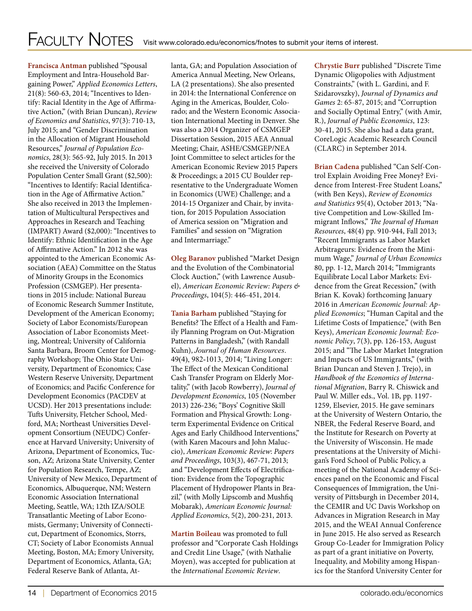**Francisca Antman** published "Spousal Employment and Intra-Household Bargaining Power," *Applied Economics Letters*, 21(8): 560-63, 2014; "Incentives to Identify: Racial Identity in the Age of Affirmative Action," (with Brian Duncan), *Review of Economics and Statistics*, 97(3): 710-13, July 2015; and "Gender Discrimination in the Allocation of Migrant Household Resources," *Journal of Population Economics*, 28(3): 565-92, July 2015. In 2013 she received the University of Colorado Population Center Small Grant (\$2,500): "Incentives to Identify: Racial Identification in the Age of Affirmative Action." She also received in 2013 the Implementation of Multicultural Perspectives and Approaches in Research and Teaching (IMPART) Award (\$2,000): "Incentives to Identify: Ethnic Identification in the Age of Affirmative Action." In 2012 she was appointed to the American Economic Association (AEA) Committee on the Status of Minority Groups in the Economics Profession (CSMGEP). Her presentations in 2015 include: National Bureau of Economic Research Summer Institute, Development of the American Economy; Society of Labor Economists/European Association of Labor Economists Meeting, Montreal; University of California Santa Barbara, Broom Center for Demography Workshop; The Ohio State University, Department of Economics; Case Western Reserve University, Department of Economics; and Pacific Conference for Development Economics (PACDEV at UCSD). Her 2013 presentations include: Tufts University, Fletcher School, Medford, MA; Northeast Universities Development Consortium (NEUDC) Conference at Harvard University; University of Arizona, Department of Economics, Tucson, AZ; Arizona State University, Center for Population Research, Tempe, AZ; University of New Mexico, Department of Economics, Albuquerque, NM; Western Economic Association International Meeting, Seattle, WA; 12th IZA/SOLE Transatlantic Meeting of Labor Economists, Germany; University of Connecticut, Department of Economics, Storrs, CT; Society of Labor Economists Annual Meeting, Boston, MA; Emory University, Department of Economics, Atlanta, GA; Federal Reserve Bank of Atlanta, Atlanta, GA; and Population Association of America Annual Meeting, New Orleans, LA (2 presentations). She also presented in 2014: the International Conference on Aging in the Americas, Boulder, Colorado; and the Western Economic Association International Meeting in Denver. She was also a 2014 Organizer of CSMGEP Dissertation Session, 2015 AEA Annual Meeting; Chair, ASHE/CSMGEP/NEA Joint Committee to select articles for the American Economic Review 2015 Papers & Proceedings; a 2015 CU Boulder representative to the Undergraduate Women in Economics (UWE) Challenge; and a 2014-15 Organizer and Chair, by invitation, for 2015 Population Association of America session on "Migration and Families" and session on "Migration and Intermarriage."

**Oleg Baranov** published "Market Design and the Evolution of the Combinatorial Clock Auction," (with Lawrence Ausubel), *American Economic Review: Papers & Proceedings*, 104(5): 446-451, 2014.

**Tania Barham** published "Staying for Benefits? The Effect of a Health and Family Planning Program on Out-Migration Patterns in Bangladesh," (with Randall Kuhn), *Journal of Human Resources*. 49(4), 982-1013, 2014; "Living Longer: The Effect of the Mexican Conditional Cash Transfer Program on Elderly Mortality," (with Jacob Rowberry), *Journal of Development Economics*, 105 (November 2013) 226-236; "Boys' Cognitive Skill Formation and Physical Growth: Longterm Experimental Evidence on Critical Ages and Early Childhood Interventions," (with Karen Macours and John Maluccio), *American Economic Review*: *Papers and Proceedings*, 103(3), 467-71, 2013; and "Development Effects of Electrification: Evidence from the Topographic Placement of Hydropower Plants in Brazil," (with Molly Lipscomb and Mushfiq Mobarak), *American Economic Journal: Applied Economics*, 5(2), 200-231, 2013.

**Martin Boileau** was promoted to full professor and "Corporate Cash Holdings and Credit Line Usage," (with Nathalie Moyen), was accepted for publication at the *International Economic Review*.

**Chrystie Burr** published "Discrete Time Dynamic Oligopolies with Adjustment Constraints," (with L. Gardini, and F. Szidarovszky), *Journal of Dynamics and Games* 2: 65-87, 2015; and "Corruption and Socially Optimal Entry," (with Amir, R.), *Journal of Public Economics*, 123: 30-41, 2015. She also had a data grant, CoreLogic Academic Research Council (CLARC) in September 2014.

**Brian Cadena** published "Can Self-Control Explain Avoiding Free Money? Evidence from Interest-Free Student Loans," (with Ben Keys), *Review of Economics and Statistics* 95(4), October 2013; "Native Competition and Low-Skilled Immigrant Inflows," *The Journal of Human Resources*, 48(4) pp. 910-944, Fall 2013; "Recent Immigrants as Labor Market Arbitrageurs: Evidence from the Minimum Wage," *Journal of Urban Economics* 80, pp. 1-12, March 2014; "Immigrants Equilibrate Local Labor Markets: Evidence from the Great Recession," (with Brian K. Kovak) forthcoming January 2016 in *American Economic Journal: Applied Economics*; "Human Capital and the Lifetime Costs of Impatience," (with Ben Keys), *American Economic Journal: Economic Policy*, 7(3), pp. 126-153, August 2015; and "The Labor Market Integration and Impacts of US Immigrants," (with Brian Duncan and Steven J. Trejo), in *Handbook of the Economics of International Migration*, Barry R. Chiswick and Paul W. Miller eds., Vol. 1B, pp. 1197- 1259, Elsevier, 2015. He gave seminars at the University of Western Ontario, the NBER, the Federal Reserve Board, and the Institute for Research on Poverty at the University of Wisconsin. He made presentations at the University of Michigan's Ford School of Public Policy, a meeting of the National Academy of Sciences panel on the Economic and Fiscal Consequences of Immigration, the University of Pittsburgh in December 2014, the CEMIR and UC Davis Workshop on Advances in Migration Research in May 2015, and the WEAI Annual Conference in June 2015. He also served as Research Group Co-Leader for Immigration Policy as part of a grant initiative on Poverty, Inequality, and Mobility among Hispanics for the Stanford University Center for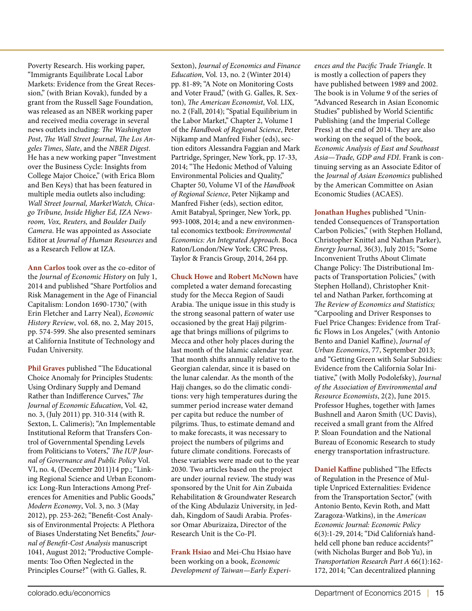Poverty Research. His working paper, "Immigrants Equilibrate Local Labor Markets: Evidence from the Great Recession," (with Brian Kovak), funded by a grant from the Russell Sage Foundation, was released as an NBER working paper and received media coverage in several news outlets including: *The Washington Post*, *The Wall Street Journal*, *The Los Angeles Times*, *Slate*, and the *NBER Digest*. He has a new working paper "Investment over the Business Cycle: Insights from College Major Choice," (with Erica Blom and Ben Keys) that has been featured in multiple media outlets also including: *Wall Street Journal, MarketWatch, Chicago Tribune, Inside Higher Ed, IZA Newsroom, Vox, Reuters,* and *Boulder Daily Camera*. He was appointed as Associate Editor at *Journal of Human Resources* and as a Research Fellow at IZA.

**Ann Carlos** took over as the co-editor of the *Journal of Economic History* on July 1, 2014 and published "Share Portfolios and Risk Management in the Age of Financial Capitalism: London 1690-1730," (with Erin Fletcher and Larry Neal), *Economic History Review*, vol. 68, no. 2, May 2015, pp. 574-599. She also presented seminars at California Institute of Technology and Fudan University.

**Phil Graves** published "The Educational Choice Anomaly for Principles Students: Using Ordinary Supply and Demand Rather than Indifference Curves," *The Journal of Economic Education*, Vol. 42, no. 3, (July 2011) pp. 310-314 (with R. Sexton, L. Calimeris); "An Implementable Institutional Reform that Transfers Control of Governmental Spending Levels from Politicians to Voters," *The IUP Journal of Governance and Public Policy* Vol. VI, no. 4, (December 2011)14 pp.; "Linking Regional Science and Urban Economics: Long-Run Interactions Among Preferences for Amenities and Public Goods," *Modern Economy*, Vol. 3, no. 3 (May 2012), pp. 253-262; "Benefit-Cost Analysis of Environmental Projects: A Plethora of Biases Understating Net Benefits," *Journal of Benefit-Cost Analysis* manuscript 1041, August 2012; "Productive Complements: Too Often Neglected in the Principles Course?" (with G. Galles, R.

Sexton), *Journal of Economics and Finance Education*, Vol. 13, no. 2 (Winter 2014) pp. 81-89; "A Note on Monitoring Costs and Voter Fraud," (with G. Galles, R. Sexton), *The American Economist*, Vol. LIX, no. 2 (Fall, 2014); "Spatial Equilibrium in the Labor Market," Chapter 2, Volume I of the *Handbook of Regional Science*, Peter Nijkamp and Manfred Fisher (eds), section editors Alessandra Faggian and Mark Partridge, Springer, New York, pp. 17-33, 2014; "The Hedonic Method of Valuing Environmental Policies and Quality," Chapter 50, Volume VI of the *Handbook of Regional Science*, Peter Nijkamp and Manfred Fisher (eds), section editor, Amit Batabyal, Springer, New York, pp. 993-1008, 2014; and a new environmental economics textbook: *Environmental Economics: An Integrated Approach*. Boca Raton/London/New York: CRC Press, Taylor & Francis Group, 2014, 264 pp.

**Chuck Howe** and **Robert McNown** have completed a water demand forecasting study for the Mecca Region of Saudi Arabia. The unique issue in this study is the strong seasonal pattern of water use occasioned by the great Hajj pilgrimage that brings millions of pilgrims to Mecca and other holy places during the last month of the Islamic calendar year. That month shifts annually relative to the Georgian calendar, since it is based on the lunar calendar. As the month of the Hajj changes, so do the climatic conditions: very high temperatures during the summer period increase water demand per capita but reduce the number of pilgrims. Thus, to estimate demand and to make forecasts, it was necessary to project the numbers of pilgrims and future climate conditions. Forecasts of these variables were made out to the year 2030. Two articles based on the project are under journal review. The study was sponsored by the Unit for Ain Zubaida Rehabilitation & Groundwater Research of the King Abdulaziz University, in Jeddah, Kingdom of Saudi Arabia. Professor Omar Aburizaiza, Director of the Research Unit is the Co-PI.

**Frank Hsiao** and Mei-Chu Hsiao have been working on a book, *Economic Development of Taiwan—Early Experi-* *ences and the Pacific Trade Triangle*. It is mostly a collection of papers they have published between 1989 and 2002. The book is in Volume 9 of the series of "Advanced Research in Asian Economic Studies" published by World Scientific Publishing (and the Imperial College Press) at the end of 2014. They are also working on the sequel of the book, *Economic Analysis of East and Southeast Asia—Trade, GDP and FDI*. Frank is continuing serving as an Associate Editor of the *Journal of Asian Economics* published by the American Committee on Asian Economic Studies (ACAES).

**Jonathan Hughes** published "Unintended Consequences of Transportation Carbon Policies," (with Stephen Holland, Christopher Knittel and Nathan Parker), *Energy Journal*, 36(3), July 2015; "Some Inconvenient Truths About Climate Change Policy: The Distributional Impacts of Transportation Policies," (with Stephen Holland), Christopher Knittel and Nathan Parker, forthcoming at *The Review of Economics and Statistics;*  "Carpooling and Driver Responses to Fuel Price Changes: Evidence from Traffic Flows in Los Angeles," (with Antonio Bento and Daniel Kaffine), *Journal of Urban Economics*, 77, September 2013; and "Getting Green with Solar Subsidies: Evidence from the California Solar Initiative," (with Molly Podolefsky), *Journal of the Association of Environmental and Resource Economists*, 2(2), June 2015. Professor Hughes, together with James Bushnell and Aaron Smith (UC Davis), received a small grant from the Alfred P. Sloan Foundation and the National Bureau of Economic Research to study energy transportation infrastructure.

**Daniel Kaffine** published "The Effects of Regulation in the Presence of Multiple Unpriced Externalities: Evidence from the Transportation Sector," (with Antonio Bento, Kevin Roth, and Matt Zaragoza-Watkins), in the *American Economic Journal: Economic Policy* 6(3):1-29, 2014; "Did California's handheld cell phone ban reduce accidents?" (with Nicholas Burger and Bob Yu), in *Transportation Research Part A* 66(1):162- 172, 2014; "Can decentralized planning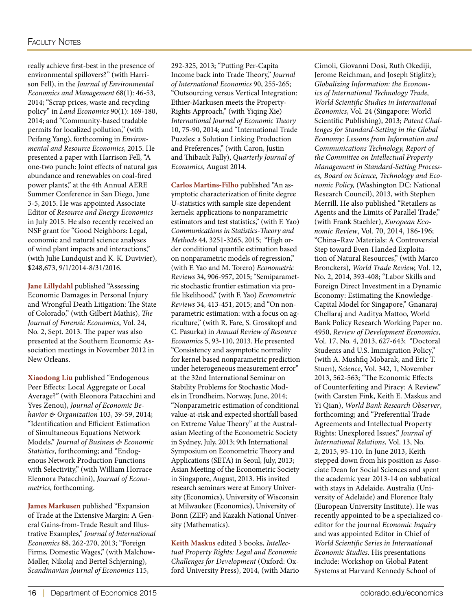really achieve first-best in the presence of environmental spillovers?" (with Harrison Fell), in the *Journal of Environmental Economics and Management* 68(1): 46-53, 2014; "Scrap prices, waste and recycling policy" in *Land Economics* 90(1): 169-180, 2014; and "Community-based tradable permits for localized pollution," (with Peifang Yang), forthcoming in *Environmental and Resource Economics*, 2015. He presented a paper with Harrison Fell, "A one-two punch: Joint effects of natural gas abundance and renewables on coal-fired power plants," at the 4th Annual AERE Summer Conference in San Diego, June 3-5, 2015. He was appointed Associate Editor of *Resource and Energy Economics* in July 2015. He also recently received an NSF grant for "Good Neighbors: Legal, economic and natural science analyses of wind plant impacts and interactions," (with Julie Lundquist and K. K. Duvivier), \$248,673, 9/1/2014-8/31/2016.

**Jane Lillydahl** published "Assessing Economic Damages in Personal Injury and Wrongful Death Litigation: The State of Colorado," (with Gilbert Mathis), *The Journal of Forensic Economics*, Vol. 24, No. 2, Sept. 2013. The paper was also presented at the Southern Economic Association meetings in November 2012 in New Orleans.

**Xiaodong Liu** published "Endogenous Peer Effects: Local Aggregate or Local Average?" (with Eleonora Patacchini and Yves Zenou), *Journal of Economic Behavior & Organization* 103, 39-59, 2014; "Identification and Efficient Estimation of Simultaneous Equations Network Models," *Journal of Business & Economic Statistics*, forthcoming; and "Endogenous Network Production Functions with Selectivity," (with William Horrace Eleonora Patacchini), *Journal of Econometrics*, forthcoming.

**James Markusen** published "Expansion of Trade at the Extensive Margin: A General Gains-from-Trade Result and Illustrative Examples," *Journal of International Economics* 88, 262-270, 2013; "Foreign Firms, Domestic Wages," (with Malchow-Møller, Nikolaj and Bertel Schjerning), *Scandinavian Journal of Economics* 115,

292-325, 2013; "Putting Per-Capita Income back into Trade Theory," *Journal of International Economics* 90, 255-265; "Outsourcing versus Vertical Integration: Ethier-Markusen meets the Property-Rights Approach," (with Yiqing Xie) *International Journal of Economic Theory* 10, 75-90, 2014; and "International Trade Puzzles: a Solution Linking Production and Preferences," (with Caron, Justin and Thibault Fally), *Quarterly Journal of Economics*, August 2014.

**Carlos Martins-Filho** published "An asymptotic characterization of finite degree U-statistics with sample size dependent kernels: applications to nonparametric estimators and test statistics," (with F. Yao) *Communications in Statistics-Theory and Methods* 44, 3251-3265, 2015; "High order conditional quantile estimation based on nonparametric models of regression," (with F. Yao and M. Torero) *Econometric Reviews* 34, 906-957, 2015; "Semiparametric stochastic frontier estimation via profile likelihood," (with F. Yao) *Econometric Reviews* 34, 413-451, 2015; and "On nonparametric estimation: with a focus on agriculture," (with R. Fare, S. Grosskopf and C. Pasurka) in *Annual Review of Resource Economic*s 5, 93-110, 2013. He presented "Consistency and asymptotic normality for kernel based nonparametric prediction under heterogeneous measurement error" at the 32nd International Seminar on Stability Problems for Stochastic Models in Trondheim, Norway, June, 2014; "Nonparametric estimation of conditional value-at-risk and expected shortfall based on Extreme Value Theory" at the Australasian Meeting of the Econometric Society in Sydney, July, 2013; 9th International Symposium on Econometric Theory and Applications (SETA) in Seoul, July, 2013; Asian Meeting of the Econometric Society in Singapore, August, 2013. His invited research seminars were at Emory University (Economics), University of Wisconsin at Milwaukee (Economics), University of Bonn (ZEF) and Kazakh National University (Mathematics).

**Keith Maskus** edited 3 books, *Intellectual Property Rights: Legal and Economic Challenges for Development* (Oxford: Oxford University Press), 2014, (with Mario Cimoli, Giovanni Dosi, Ruth Okediji, Jerome Reichman, and Joseph Stiglitz); *Globalizing Information: the Economics of International Technology Trade, World Scientific Studies in International Economics*, Vol. 24 (Singapore: World Scientific Publishing), 2013; *Patent Challenges for Standard-Setting in the Global Economy: Lessons from Information and Communications Technology, Report of the Committee on Intellectual Property Management in Standard-Setting Processes, Board on Science, Technology and Economic Policy,* (Washington DC: National Research Council), 2013, with Stephen Merrill. He also published "Retailers as Agents and the Limits of Parallel Trade," (with Frank Staehler), *European Economic Review*, Vol. 70, 2014, 186-196; "China–Raw Materials: A Controversial Step toward Even-Handed Exploitation of Natural Resources," (with Marco Bronckers), *World Trade Review,* Vol. 12, No. 2, 2014, 393-408; "Labor Skills and Foreign Direct Investment in a Dynamic Economy: Estimating the Knowledge-Capital Model for Singapore," Gnanaraj Chellaraj and Aaditya Mattoo, World Bank Policy Research Working Paper no. 4950, *Review of Development Economics*, Vol. 17, No. 4, 2013, 627-643; "Doctoral Students and U.S. Immigration Policy," (with A. Mushfiq Mobarak, and Eric T. Stuen), *Science*, Vol. 342, 1, November 2013, 562-563; "The Economic Effects of Counterfeiting and Piracy: A Review," (with Carsten Fink, Keith E. Maskus and Yi Qian), *World Bank Research Observer*, forthcoming; and "Preferential Trade Agreements and Intellectual Property Rights: Unexplored Issues," *Journal of International Relations*, Vol. 13, No. 2, 2015, 95-110. In June 2013, Keith stepped down from his position as Associate Dean for Social Sciences and spent the academic year 2013-14 on sabbatical with stays in Adelaide, Australia (University of Adelaide) and Florence Italy (European University Institute). He was recently appointed to be a specialized coeditor for the journal *Economic Inquiry* and was appointed Editor in Chief of *World Scientific Series in International Economic Studies.* His presentations include: Workshop on Global Patent Systems at Harvard Kennedy School of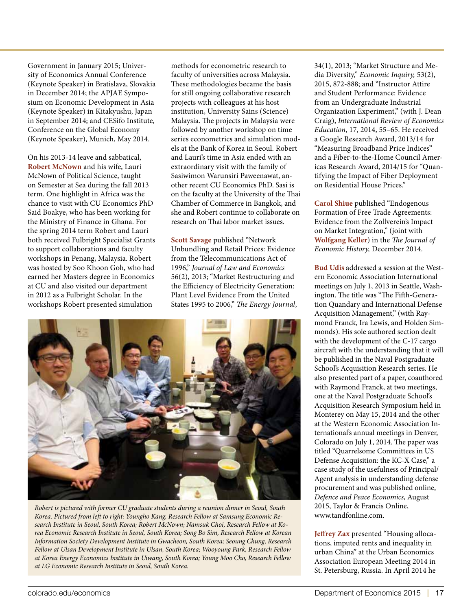Government in January 2015; University of Economics Annual Conference (Keynote Speaker) in Bratislava, Slovakia in December 2014; the APJAE Symposium on Economic Development in Asia (Keynote Speaker) in Kitakyushu, Japan in September 2014; and CESifo Institute, Conference on the Global Economy (Keynote Speaker), Munich, May 2014.

On his 2013-14 leave and sabbatical, **Robert McNown** and his wife, Lauri McNown of Political Science, taught on Semester at Sea during the fall 2013 term. One highlight in Africa was the chance to visit with CU Economics PhD Said Boakye, who has been working for the Ministry of Finance in Ghana. For the spring 2014 term Robert and Lauri both received Fulbright Specialist Grants to support collaborations and faculty workshops in Penang, Malaysia. Robert was hosted by Soo Khoon Goh, who had earned her Masters degree in Economics at CU and also visited our department in 2012 as a Fulbright Scholar. In the workshops Robert presented simulation

methods for econometric research to faculty of universities across Malaysia. These methodologies became the basis for still ongoing collaborative research projects with colleagues at his host institution, University Sains (Science) Malaysia. The projects in Malaysia were followed by another workshop on time series econometrics and simulation models at the Bank of Korea in Seoul. Robert and Lauri's time in Asia ended with an extraordinary visit with the family of Sasiwimon Warunsiri Paweenawat, another recent CU Economics PhD. Sasi is on the faculty at the University of the Thai Chamber of Commerce in Bangkok, and she and Robert continue to collaborate on research on Thai labor market issues.

**Scott Savage** published "Network Unbundling and Retail Prices: Evidence from the Telecommunications Act of 1996," *Journal of Law and Economics* 56(2), 2013; "Market Restructuring and the Efficiency of Electricity Generation: Plant Level Evidence From the United States 1995 to 2006," *The Energy Journal*,



*Robert is pictured with former CU graduate students during a reunion dinner in Seoul, South Korea. Pictured from left to right: Youngho Kang, Research Fellow at Samsung Economic Research Institute in Seoul, South Korea; Robert McNown; Namsuk Choi, Research Fellow at Korea Economic Research Institute in Seoul, South Korea; Song Bo Sim, Research Fellow at Korean Information Society Development Institute in Gwacheon, South Korea; Seoung Chung, Research Fellow at Ulsan Development Institute in Ulsan, South Korea; Wooyoung Park, Research Fellow at Korea Energy Economics Institute in Uiwang, South Korea; Young Moo Cho, Research Fellow at LG Economic Research Institute in Seoul, South Korea.*

34(1), 2013; "Market Structure and Media Diversity," *Economic Inquiry,* 53(2), 2015, 872-888; and "Instructor Attire and Student Performance: Evidence from an Undergraduate Industrial Organization Experiment," (with J. Dean Craig), *International Review of Economics Education*, 17, 2014, 55–65. He received a Google Research Award, 2013/14 for "Measuring Broadband Price Indices" and a Fiber-to-the-Home Council Americas Research Award, 2014/15 for "Quantifying the Impact of Fiber Deployment on Residential House Prices."

**Carol Shiue** published "Endogenous Formation of Free Trade Agreements: Evidence from the Zollverein's Impact on Market Integration," (joint with **Wolfgang Keller**) in the *The Journal of Economic History,* December 2014.

**Bud Udis** addressed a session at the Western Economic Association International meetings on July 1, 2013 in Seattle, Washington. The title was "The Fifth-Generation Quandary and International Defense Acquisition Management," (with Raymond Franck, Ira Lewis, and Holden Simmonds). His sole authored section dealt with the development of the C-17 cargo aircraft with the understanding that it will be published in the Naval Postgraduate School's Acquisition Research series. He also presented part of a paper, coauthored with Raymond Franck, at two meetings, one at the Naval Postgraduate School's Acquisition Research Symposium held in Monterey on May 15, 2014 and the other at the Western Economic Association International's annual meetings in Denver, Colorado on July 1, 2014. The paper was titled "Quarrelsome Committees in US Defense Acquisition: the KC-X Case," a case study of the usefulness of Principal/ Agent analysis in understanding defense procurement and was published online, *Defence and Peace Economics*, August 2015, Taylor & Francis Online, www.tandfonline.com.

**Jeffrey Zax** presented "Housing allocations, imputed rents and inequality in urban China" at the Urban Economics Association European Meeting 2014 in St. Petersburg, Russia. In April 2014 he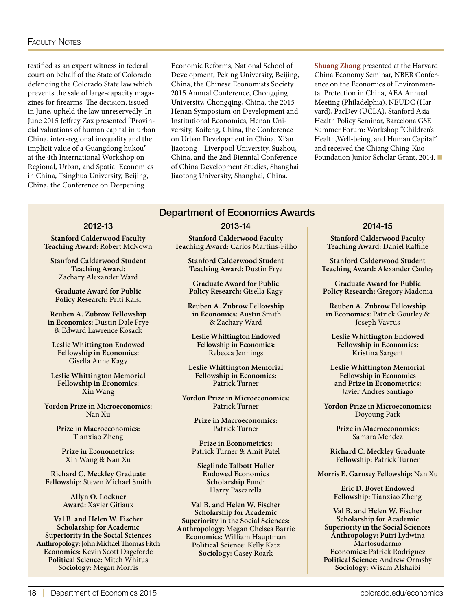#### **FACULTY NOTES**

testified as an expert witness in federal court on behalf of the State of Colorado defending the Colorado State law which prevents the sale of large-capacity magazines for firearms. The decision, issued in June, upheld the law unreservedly. In June 2015 Jeffrey Zax presented "Provincial valuations of human capital in urban China, inter-regional inequality and the implicit value of a Guangdong hukou" at the 4th International Workshop on Regional, Urban, and Spatial Economics in China, Tsinghua University, Beijing, China, the Conference on Deepening

Economic Reforms, National School of Development, Peking University, Beijing, China, the Chinese Economists Society 2015 Annual Conference, Chongqing University, Chongqing, China, the 2015 Henan Symposium on Development and Institutional Economics, Henan University, Kaifeng, China, the Conference on Urban Development in China, Xi'an Jiaotong—Liverpool University, Suzhou, China, and the 2nd Biennial Conference of China Development Studies, Shanghai Jiaotong University, Shanghai, China.

**Shuang Zhang** presented at the Harvard China Economy Seminar, NBER Conference on the Economics of Environmental Protection in China, AEA Annual Meeting (Philadelphia), NEUDC (Harvard), PacDev (UCLA), Stanford Asia Health Policy Seminar, Barcelona GSE Summer Forum: Workshop "Children's Health,Well-being, and Human Capital" and received the Chiang Ching-Kuo Foundation Junior Scholar Grant, 2014. ■

#### 2012-13

**Stanford Calderwood Faculty Teaching Award:** Robert McNown

**Stanford Calderwood Student Teaching Award:**  Zachary Alexander Ward

**Graduate Award for Public Policy Research:** Priti Kalsi

**Reuben A. Zubrow Fellowship in Economics:** Dustin Dale Frye & Edward Lawrence Kosack

**Leslie Whittington Endowed Fellowship in Economics:**  Gisella Anne Kagy

**Leslie Whittington Memorial Fellowship in Economics:**  Xin Wang

**Yordon Prize in Microeconomics:** Nan Xu

> **Prize in Macroeconomics:**  Tianxiao Zheng

**Prize in Econometrics:**  Xin Wang & Nan Xu

**Richard C. Meckley Graduate Fellowship:** Steven Michael Smith

> **Allyn O. Lockner Award:** Xavier Gitiaux

**Val B. and Helen W. Fischer Scholarship for Academic Superiority in the Social Sciences Anthropology:**John Michael Thomas Fitch **Economics:** Kevin Scott Dageforde **Political Science:** Mitch Whitus **Sociology:** Megan Morris

#### Department of Economics Awards

#### 2013-14

**Stanford Calderwood Faculty Teaching Award:** Carlos Martins-Filho

> **Stanford Calderwood Student Teaching Award:** Dustin Frye

**Graduate Award for Public Policy Research:** Gisella Kagy

**Reuben A. Zubrow Fellowship in Economics:** Austin Smith & Zachary Ward

**Leslie Whittington Endowed Fellowship in Economics:** Rebecca Jennings

**Leslie Whittington Memorial Fellowship in Economics:** Patrick Turner

**Yordon Prize in Microeconomics:** Patrick Turner

> **Prize in Macroeconomics:**  Patrick Turner

**Prize in Econometrics:** Patrick Turner & Amit Patel

**Sieglinde Talbott Haller Endowed Economics Scholarship Fund:** Harry Pascarella

**Val B. and Helen W. Fischer Scholarship for Academic Superiority in the Social Sciences: Anthropology:** Megan Chelsea Barrie **Economics:** William Hauptman **Political Science:** Kelly Katz **Sociology:** Casey Roark

#### 2014-15

**Stanford Calderwood Faculty Teaching Award:** Daniel Kaffine

**Stanford Calderwood Student Teaching Award:** Alexander Cauley

**Graduate Award for Public Policy Research:** Gregory Madonia

**Reuben A. Zubrow Fellowship in Economics:** Patrick Gourley & Joseph Vavrus

**Leslie Whittington Endowed Fellowship in Economics:** Kristina Sargent

**Leslie Whittington Memorial Fellowship in Economics and Prize in Econometrics:**  Javier Andres Santiago

**Yordon Prize in Microeconomics:** Doyoung Park

> **Prize in Macroeconomics:**  Samara Mendez

**Richard C. Meckley Graduate Fellowship:** Patrick Turner

**Morris E. Garnsey Fellowship:** Nan Xu

**Eric D. Bovet Endowed Fellowship:** Tianxiao Zheng

**Val B. and Helen W. Fischer Scholarship for Academic Superiority in the Social Sciences Anthropology:** Putri Lydwina Martosudarmo **Economics:** Patrick Rodriguez **Political Science:** Andrew Ormsby **Sociology:** Wisam Alshaibi